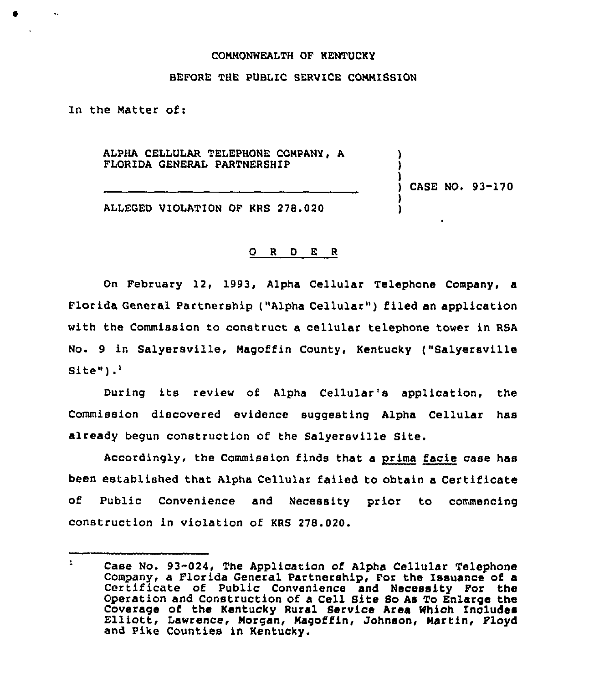## CQNNONWEALTH OF KENTUCKY

## BEFORE THE PUBLIC SERVICE CONNISSION

In the Natter of:

ALPHA CELLULAR TELEPHONE CONPANY, A FLORIDA GENERAL PARTNERSHIP

) ) CASE NO. 93-170

) )

) )

ALLEGED VIOLATION OF KRS 278.020

## O R D E R

On February 12, 1993, Alpha Cellular Telephone Company, a Florida General Partnership ("Alpha Cellular" ) filed an application with the Commission to construct a cellular telephone tower in RSA No. 9 in Salyersville, Nagoffin County, Kentucky ("Salyersville  $Site")$ .

During its review of Alpha Cellular's application, the Commission discovered evidence suggesting Alpha Cellular has already begun construction of the Salyersville Site.

Accordingly, the Commission finds that a prima facie case has been established that Alpha Cellular failed to obtain a Certificate of Public Convenience and Necessity prior to commencing construction in violation of KRS 278.020.

 $\mathbf{1}$ Case No. 93-024, The Application of Alpha Cellular Telephone Company, a Florida General Partnership, For the Issuance of a Certificate of Public Convenience and Necessity For the Operation and Construction of a Cell Site So As To Enlarge the Coverage of the Kentucky Rural Service Area Which Includes Elliott, Lawrence, Morgan, Magoffin, Johnson, Martin, Floyd and Pike Counties in Kentucky.